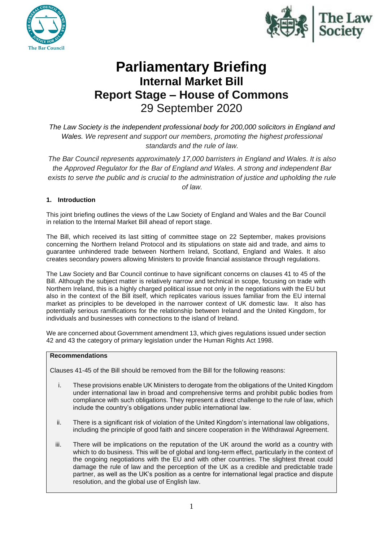



# **Parliamentary Briefing Internal Market Bill Report Stage – House of Commons** 29 September 2020

*The Law Society is the independent professional body for 200,000 solicitors in England and Wales. We represent and support our members, promoting the highest professional standards and the rule of law.*

*The Bar Council represents approximately 17,000 barristers in England and Wales. It is also the Approved Regulator for the Bar of England and Wales. A strong and independent Bar*  exists to serve the public and is crucial to the administration of justice and upholding the rule *of law.*

# **1. Introduction**

This joint briefing outlines the views of the Law Society of England and Wales and the Bar Council in relation to the Internal Market Bill ahead of report stage.

The Bill, which received its last sitting of committee stage on 22 September, makes provisions concerning the Northern Ireland Protocol and its stipulations on state aid and trade, and aims to guarantee unhindered trade between Northern Ireland, Scotland, England and Wales. It also creates secondary powers allowing Ministers to provide financial assistance through regulations.

The Law Society and Bar Council continue to have significant concerns on clauses 41 to 45 of the Bill. Although the subject matter is relatively narrow and technical in scope, focusing on trade with Northern Ireland, this is a highly charged political issue not only in the negotiations with the EU but also in the context of the Bill itself, which replicates various issues familiar from the EU internal market as principles to be developed in the narrower context of UK domestic law. It also has potentially serious ramifications for the relationship between Ireland and the United Kingdom, for individuals and businesses with connections to the island of Ireland.

We are concerned about Government amendment 13, which gives regulations issued under section 42 and 43 the category of primary legislation under the Human Rights Act 1998.

# **Recommendations**

Clauses 41-45 of the Bill should be removed from the Bill for the following reasons:

- i. These provisions enable UK Ministers to derogate from the obligations of the United Kingdom under international law in broad and comprehensive terms and prohibit public bodies from compliance with such obligations. They represent a direct challenge to the rule of law, which include the country's obligations under public international law.
- ii. There is a significant risk of violation of the United Kingdom's international law obligations, including the principle of good faith and sincere cooperation in the Withdrawal Agreement.
- iii. There will be implications on the reputation of the UK around the world as a country with which to do business. This will be of global and long-term effect, particularly in the context of the ongoing negotiations with the EU and with other countries. The slightest threat could damage the rule of law and the perception of the UK as a credible and predictable trade partner, as well as the UK's position as a centre for international legal practice and dispute resolution, and the global use of English law.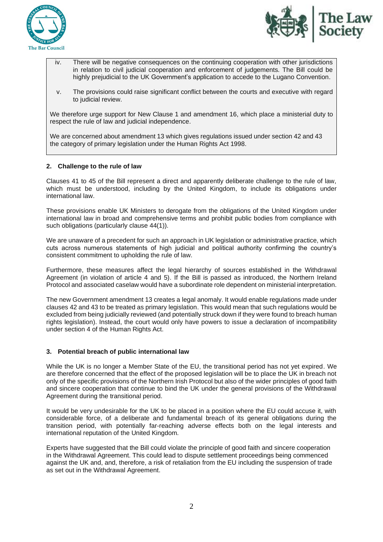



- iv. There will be negative consequences on the continuing cooperation with other jurisdictions in relation to civil judicial cooperation and enforcement of judgements. The Bill could be highly prejudicial to the UK Government's application to accede to the Lugano Convention.
- v. The provisions could raise significant conflict between the courts and executive with regard to judicial review.

We therefore urge support for New Clause 1 and amendment 16, which place a ministerial duty to respect the rule of law and judicial independence.

We are concerned about amendment 13 which gives regulations issued under section 42 and 43 the category of primary legislation under the Human Rights Act 1998.

### **2. Challenge to the rule of law**

Clauses 41 to 45 of the Bill represent a direct and apparently deliberate challenge to the rule of law, which must be understood, including by the United Kingdom, to include its obligations under international law.

These provisions enable UK Ministers to derogate from the obligations of the United Kingdom under international law in broad and comprehensive terms and prohibit public bodies from compliance with such obligations (particularly clause 44(1)).

We are unaware of a precedent for such an approach in UK legislation or administrative practice, which cuts across numerous statements of high judicial and political authority confirming the country's consistent commitment to upholding the rule of law.

Furthermore, these measures affect the legal hierarchy of sources established in the Withdrawal Agreement (in violation of article 4 and 5). If the Bill is passed as introduced, the Northern Ireland Protocol and associated caselaw would have a subordinate role dependent on ministerial interpretation.

The new Government amendment 13 creates a legal anomaly. It would enable regulations made under clauses 42 and 43 to be treated as primary legislation. This would mean that such regulations would be excluded from being judicially reviewed (and potentially struck down if they were found to breach human rights legislation). Instead, the court would only have powers to issue a declaration of incompatibility under section 4 of the Human Rights Act.

#### **3. Potential breach of public international law**

While the UK is no longer a Member State of the EU, the transitional period has not yet expired. We are therefore concerned that the effect of the proposed legislation will be to place the UK in breach not only of the specific provisions of the Northern Irish Protocol but also of the wider principles of good faith and sincere cooperation that continue to bind the UK under the general provisions of the Withdrawal Agreement during the transitional period.

It would be very undesirable for the UK to be placed in a position where the EU could accuse it, with considerable force, of a deliberate and fundamental breach of its general obligations during the transition period, with potentially far-reaching adverse effects both on the legal interests and international reputation of the United Kingdom.

Experts have suggested that the Bill could violate the principle of good faith and sincere cooperation in the Withdrawal Agreement. This could lead to dispute settlement proceedings being commenced against the UK and, and, therefore, a risk of retaliation from the EU including the suspension of trade as set out in the Withdrawal Agreement.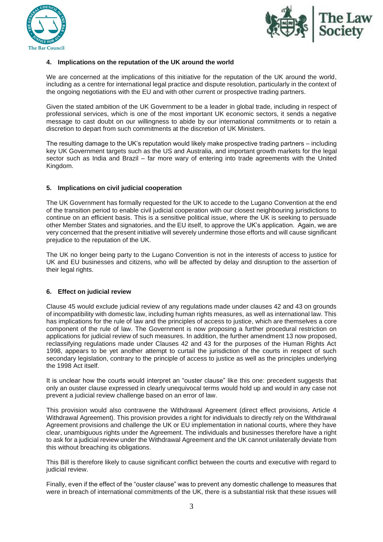



# **4. Implications on the reputation of the UK around the world**

We are concerned at the implications of this initiative for the reputation of the UK around the world, including as a centre for international legal practice and dispute resolution, particularly in the context of the ongoing negotiations with the EU and with other current or prospective trading partners.

Given the stated ambition of the UK Government to be a leader in global trade, including in respect of professional services, which is one of the most important UK economic sectors, it sends a negative message to cast doubt on our willingness to abide by our international commitments or to retain a discretion to depart from such commitments at the discretion of UK Ministers.

The resulting damage to the UK's reputation would likely make prospective trading partners – including key UK Government targets such as the US and Australia, and important growth markets for the legal sector such as India and Brazil – far more wary of entering into trade agreements with the United Kingdom.

# **5. Implications on civil judicial cooperation**

The UK Government has formally requested for the UK to accede to the Lugano Convention at the end of the transition period to enable civil judicial cooperation with our closest neighbouring jurisdictions to continue on an efficient basis. This is a sensitive political issue, where the UK is seeking to persuade other Member States and signatories, and the EU itself, to approve the UK's application. Again, we are very concerned that the present initiative will severely undermine those efforts and will cause significant prejudice to the reputation of the UK.

The UK no longer being party to the Lugano Convention is not in the interests of access to justice for UK and EU businesses and citizens, who will be affected by delay and disruption to the assertion of their legal rights.

# **6. Effect on judicial review**

Clause 45 would exclude judicial review of any regulations made under clauses 42 and 43 on grounds of incompatibility with domestic law, including human rights measures, as well as international law. This has implications for the rule of law and the principles of access to justice, which are themselves a core component of the rule of law. The Government is now proposing a further procedural restriction on applications for judicial review of such measures. In addition, the further amendment 13 now proposed, reclassifying regulations made under Clauses 42 and 43 for the purposes of the Human Rights Act 1998, appears to be yet another attempt to curtail the jurisdiction of the courts in respect of such secondary legislation, contrary to the principle of access to justice as well as the principles underlying the 1998 Act itself.

It is unclear how the courts would interpret an "ouster clause" like this one: precedent suggests that only an ouster clause expressed in clearly unequivocal terms would hold up and would in any case not prevent a judicial review challenge based on an error of law.

This provision would also contravene the Withdrawal Agreement (direct effect provisions, Article 4 Withdrawal Agreement). This provision provides a right for individuals to directly rely on the Withdrawal Agreement provisions and challenge the UK or EU implementation in national courts, where they have clear, unambiguous rights under the Agreement. The individuals and businesses therefore have a right to ask for a judicial review under the Withdrawal Agreement and the UK cannot unilaterally deviate from this without breaching its obligations.

This Bill is therefore likely to cause significant conflict between the courts and executive with regard to judicial review.

Finally, even if the effect of the "ouster clause" was to prevent any domestic challenge to measures that were in breach of international commitments of the UK, there is a substantial risk that these issues will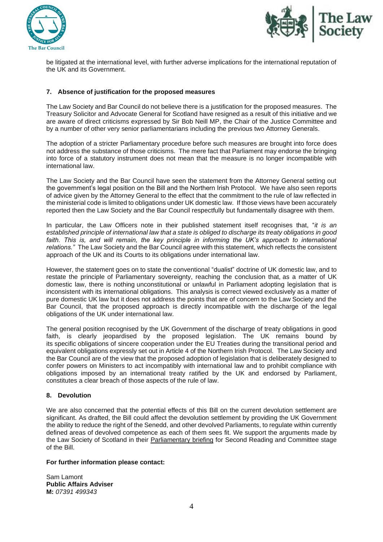



be litigated at the international level, with further adverse implications for the international reputation of the UK and its Government.

# **7. Absence of justification for the proposed measures**

The Law Society and Bar Council do not believe there is a justification for the proposed measures. The Treasury Solicitor and Advocate General for Scotland have resigned as a result of this initiative and we are aware of direct criticisms expressed by Sir Bob Neill MP, the Chair of the Justice Committee and by a number of other very senior parliamentarians including the previous two Attorney Generals.

The adoption of a stricter Parliamentary procedure before such measures are brought into force does not address the substance of those criticisms. The mere fact that Parliament may endorse the bringing into force of a statutory instrument does not mean that the measure is no longer incompatible with international law.

The Law Society and the Bar Council have seen the statement from the Attorney General setting out the government's legal position on the Bill and the Northern Irish Protocol. We have also seen reports of advice given by the Attorney General to the effect that the commitment to the rule of law reflected in the ministerial code is limited to obligations under UK domestic law. If those views have been accurately reported then the Law Society and the Bar Council respectfully but fundamentally disagree with them.

In particular, the Law Officers note in their published statement itself recognises that, "*it is an established principle of international law that a state is obliged to discharge its treaty obligations in good*  faith. This is, and will remain, the key principle in informing the UK's approach to international *relations."* The Law Society and the Bar Council agree with this statement, which reflects the consistent approach of the UK and its Courts to its obligations under international law.

However, the statement goes on to state the conventional "dualist" doctrine of UK domestic law, and to restate the principle of Parliamentary sovereignty, reaching the conclusion that, as a matter of UK domestic law, there is nothing unconstitutional or unlawful in Parliament adopting legislation that is inconsistent with its international obligations. This analysis is correct viewed exclusively as a matter of pure domestic UK law but it does not address the points that are of concern to the Law Society and the Bar Council, that the proposed approach is directly incompatible with the discharge of the legal obligations of the UK under international law.

The general position recognised by the UK Government of the discharge of treaty obligations in good faith, is clearly jeopardised by the proposed legislation. The UK remains bound by its specific obligations of sincere cooperation under the EU Treaties during the transitional period and equivalent obligations expressly set out in Article 4 of the Northern Irish Protocol. The Law Society and the Bar Council are of the view that the proposed adoption of legislation that is deliberately designed to confer powers on Ministers to act incompatibly with international law and to prohibit compliance with obligations imposed by an international treaty ratified by the UK and endorsed by Parliament, constitutes a clear breach of those aspects of the rule of law.

#### **8. Devolution**

We are also concerned that the potential effects of this Bill on the current devolution settlement are significant. As drafted, the Bill could affect the devolution settlement by providing the UK Government the ability to reduce the right of the Senedd, and other devolved Parliaments, to regulate within currently defined areas of devolved competence as each of them sees fit. We support the arguments made by the Law Society of Scotland in their [Parliamentary briefing](https://www.lawscot.org.uk/research-and-policy/influencing-the-law-and-policy/our-input-to-parliamentary-bills/bills-201920/united-kingdom-internal-market-bill-2019-2021/) for Second Reading and Committee stage of the Bill.

#### **For further information please contact:**

Sam Lamont **Public Affairs Adviser M:** *07391 499343*